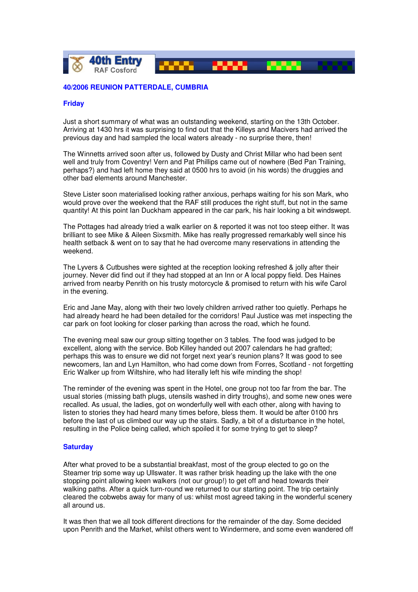

## **40/2006 REUNION PATTERDALE, CUMBRIA**

## **Friday**

Just a short summary of what was an outstanding weekend, starting on the 13th October. Arriving at 1430 hrs it was surprising to find out that the Killeys and Macivers had arrived the previous day and had sampled the local waters already - no surprise there, then!

The Winnetts arrived soon after us, followed by Dusty and Christ Millar who had been sent well and truly from Coventry! Vern and Pat Phillips came out of nowhere (Bed Pan Training, perhaps?) and had left home they said at 0500 hrs to avoid (in his words) the druggies and other bad elements around Manchester.

Steve Lister soon materialised looking rather anxious, perhaps waiting for his son Mark, who would prove over the weekend that the RAF still produces the right stuff, but not in the same quantity! At this point Ian Duckham appeared in the car park, his hair looking a bit windswept.

The Pottages had already tried a walk earlier on & reported it was not too steep either. It was brilliant to see Mike & Aileen Sixsmith. Mike has really progressed remarkably well since his health setback & went on to say that he had overcome many reservations in attending the weekend.

The Lyvers & Cutbushes were sighted at the reception looking refreshed & jolly after their journey. Never did find out if they had stopped at an Inn or A local poppy field. Des Haines arrived from nearby Penrith on his trusty motorcycle & promised to return with his wife Carol in the evening.

Eric and Jane May, along with their two lovely children arrived rather too quietly. Perhaps he had already heard he had been detailed for the corridors! Paul Justice was met inspecting the car park on foot looking for closer parking than across the road, which he found.

The evening meal saw our group sitting together on 3 tables. The food was judged to be excellent, along with the service. Bob Killey handed out 2007 calendars he had grafted; perhaps this was to ensure we did not forget next year's reunion plans? It was good to see newcomers, Ian and Lyn Hamilton, who had come down from Forres, Scotland - not forgetting Eric Walker up from Wiltshire, who had literally left his wife minding the shop!

The reminder of the evening was spent in the Hotel, one group not too far from the bar. The usual stories (missing bath plugs, utensils washed in dirty troughs), and some new ones were recalled. As usual, the ladies, got on wonderfully well with each other, along with having to listen to stories they had heard many times before, bless them. It would be after 0100 hrs before the last of us climbed our way up the stairs. Sadly, a bit of a disturbance in the hotel, resulting in the Police being called, which spoiled it for some trying to get to sleep?

## **Saturday**

After what proved to be a substantial breakfast, most of the group elected to go on the Steamer trip some way up Ullswater. It was rather brisk heading up the lake with the one stopping point allowing keen walkers (not our group!) to get off and head towards their walking paths. After a quick turn-round we returned to our starting point. The trip certainly cleared the cobwebs away for many of us: whilst most agreed taking in the wonderful scenery all around us.

It was then that we all took different directions for the remainder of the day. Some decided upon Penrith and the Market, whilst others went to Windermere, and some even wandered off